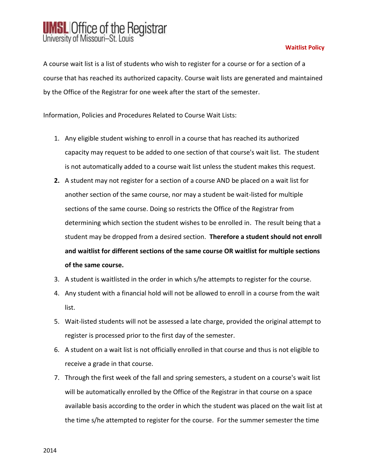## **UMSL** Office of the Registrar University of Missouri-St. Louis

## **Waitlist Policy**

A course wait list is a list of students who wish to register for a course or for a section of a course that has reached its authorized capacity. Course wait lists are generated and maintained by the Office of the Registrar for one week after the start of the semester.

Information, Policies and Procedures Related to Course Wait Lists:

- 1. Any eligible student wishing to enroll in a course that has reached its authorized capacity may request to be added to one section of that course's wait list. The student is not automatically added to a course wait list unless the student makes this request.
- **2.** A student may not register for a section of a course AND be placed on a wait list for another section of the same course, nor may a student be wait-listed for multiple sections of the same course. Doing so restricts the Office of the Registrar from determining which section the student wishes to be enrolled in. The result being that a student may be dropped from a desired section. **Therefore a student should not enroll and waitlist for different sections of the same course OR waitlist for multiple sections of the same course.**
- 3. A student is waitlisted in the order in which s/he attempts to register for the course.
- 4. Any student with a financial hold will not be allowed to enroll in a course from the wait list.
- 5. Wait-listed students will not be assessed a late charge, provided the original attempt to register is processed prior to the first day of the semester.
- 6. A student on a wait list is not officially enrolled in that course and thus is not eligible to receive a grade in that course.
- 7. Through the first week of the fall and spring semesters, a student on a course's wait list will be automatically enrolled by the Office of the Registrar in that course on a space available basis according to the order in which the student was placed on the wait list at the time s/he attempted to register for the course. For the summer semester the time